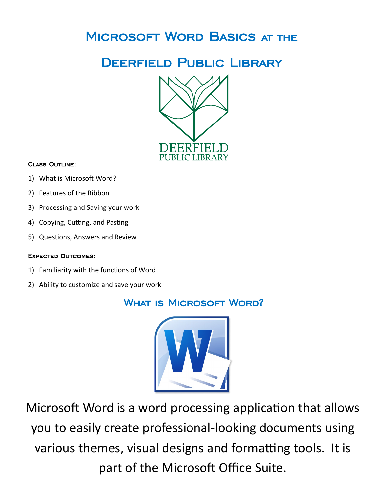# Microsoft Word Basics at the

# Deerfield Public Library



#### Class Outline:

- 1) What is Microsoft Word?
- 2) Features of the Ribbon
- 3) Processing and Saving your work
- 4) Copying, Cutting, and Pasting
- 5) Questions, Answers and Review

#### Expected Outcomes:

- 1) Familiarity with the functions of Word
- 2) Ability to customize and save your work

### WHAT IS MICROSOFT WORD?



Microsoft Word is a word processing application that allows you to easily create professional-looking documents using various themes, visual designs and formatting tools. It is part of the Microsoft Office Suite.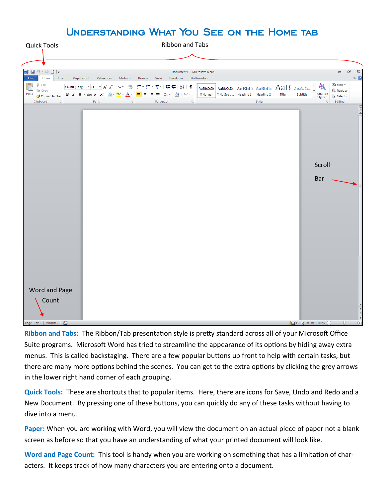### Understanding What You See on the Home tab



**Ribbon and Tabs:** The Ribbon/Tab presentation style is pretty standard across all of your Microsoft Office Suite programs. Microsoft Word has tried to streamline the appearance of its options by hiding away extra menus. This is called backstaging. There are a few popular buttons up front to help with certain tasks, but there are many more options behind the scenes. You can get to the extra options by clicking the grey arrows in the lower right hand corner of each grouping.

**Quick Tools:** These are shortcuts that to popular items. Here, there are icons for Save, Undo and Redo and a New Document. By pressing one of these buttons, you can quickly do any of these tasks without having to dive into a menu.

**Paper:** When you are working with Word, you will view the document on an actual piece of paper not a blank screen as before so that you have an understanding of what your printed document will look like.

**Word and Page Count:** This tool is handy when you are working on something that has a limitation of characters. It keeps track of how many characters you are entering onto a document.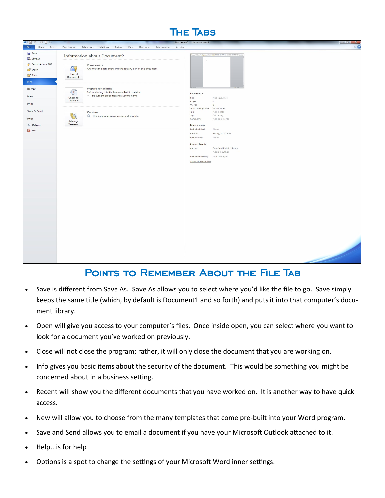



### POINTS TO REMEMBER ABOUT THE FILE TAB

- Save is different from Save As. Save As allows you to select where you'd like the file to go. Save simply keeps the same title (which, by default is Document1 and so forth) and puts it into that computer's document library.
- Open will give you access to your computer's files. Once inside open, you can select where you want to look for a document you've worked on previously.
- Close will not close the program; rather, it will only close the document that you are working on.
- Info gives you basic items about the security of the document. This would be something you might be concerned about in a business setting.
- Recent will show you the different documents that you have worked on. It is another way to have quick access.
- New will allow you to choose from the many templates that come pre-built into your Word program.
- Save and Send allows you to email a document if you have your Microsoft Outlook attached to it.
- Help...is for help
- Options is a spot to change the settings of your Microsoft Word inner settings.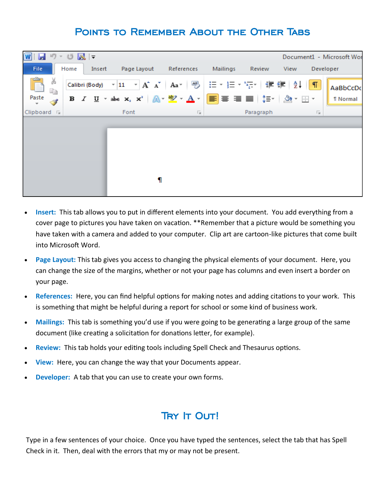### Points to Remember About the Other Tabs



- **Insert:** This tab allows you to put in different elements into your document. You add everything from a cover page to pictures you have taken on vacation. \*\*Remember that a picture would be something you have taken with a camera and added to your computer. Clip art are cartoon-like pictures that come built into Microsoft Word.
- **Page Layout:** This tab gives you access to changing the physical elements of your document. Here, you can change the size of the margins, whether or not your page has columns and even insert a border on your page.
- **References:** Here, you can find helpful options for making notes and adding citations to your work. This is something that might be helpful during a report for school or some kind of business work.
- **Mailings:** This tab is something you'd use if you were going to be generating a large group of the same document (like creating a solicitation for donations letter, for example).
- **Review:** This tab holds your editing tools including Spell Check and Thesaurus options.
- **View:** Here, you can change the way that your Documents appear.
- **Developer:** A tab that you can use to create your own forms.

### TRY **IT OUT!**

Type in a few sentences of your choice. Once you have typed the sentences, select the tab that has Spell Check in it. Then, deal with the errors that my or may not be present.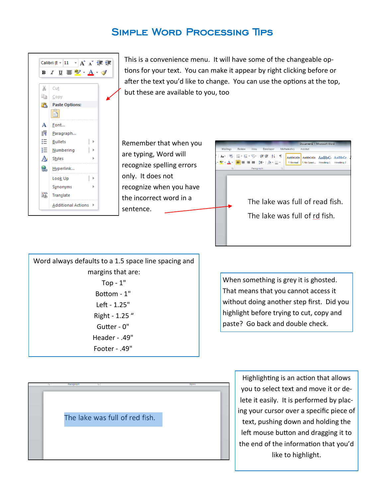### Simple Word Processing Tips



This is a convenience menu. It will have some of the changeable options for your text. You can make it appear by right clicking before or after the text you'd like to change. You can use the options at the top, but these are available to you, too

Remember that when you are typing, Word will recognize spelling errors only. It does not recognize when you have the incorrect word in a sentence.



Word always defaults to a 1.5 space line spacing and margins that are: Top  $-1$ " Bottom - 1" Left - 1.25" Right - 1.25 " Gutter - 0" Header - .49" Footer - .49"

When something is grey it is ghosted. That means that you cannot access it without doing another step first. Did you highlight before trying to cut, copy and paste? Go back and double check.

The lake was full of red fish.

Highlighting is an action that allows you to select text and move it or delete it easily. It is performed by placing your cursor over a specific piece of text, pushing down and holding the left mouse button and dragging it to the end of the information that you'd like to highlight.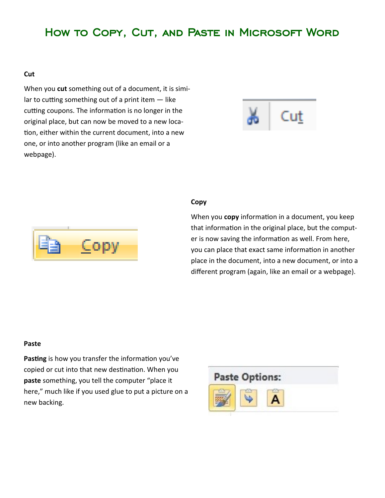## How to Copy, Cut, and Paste in Microsoft Word

#### **Cut**

When you **cut** something out of a document, it is similar to cutting something out of a print item — like cutting coupons. The information is no longer in the original place, but can now be moved to a new location, either within the current document, into a new one, or into another program (like an email or a webpage).





#### **Copy**

When you **copy** information in a document, you keep that information in the original place, but the computer is now saving the information as well. From here, you can place that exact same information in another place in the document, into a new document, or into a different program (again, like an email or a webpage).

#### **Paste**

**Pasting** is how you transfer the information you've copied or cut into that new destination. When you **paste** something, you tell the computer "place it here," much like if you used glue to put a picture on a new backing.

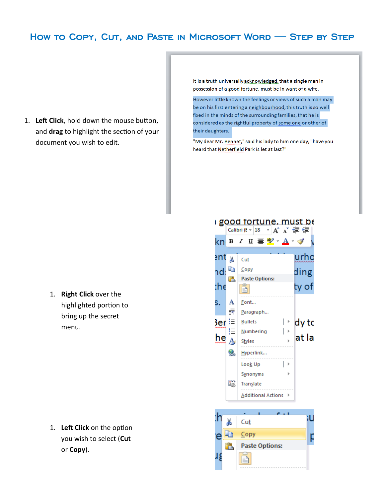### How to Copy, Cut, and Paste in Microsoft Word — Step by Step

1. **Left Click**, hold down the mouse button, and **drag** to highlight the section of your document you wish to edit.

It is a truth universally acknowledged, that a single man in possession of a good fortune, must be in want of a wife.

However little known the feelings or views of such a man may be on his first entering a neighbourhood, this truth is so well fixed in the minds of the surrounding families, that he is considered as the rightful property of some one or other of their daughters.

"My dear Mr. Bennet," said his lady to him one day, "have you heard that Netherfield Park is let at last?"

i good fortune, must be

1. **Right Click** over the highlighted portion to bring up the secret menu.

1. **Left Click** on the option you wish to select (**Cut** or **Copy**).

#### Calibri (E  $\overline{Y}$  18  $\overline{Y}$   $\overline{A}^*$   $\overline{A}^*$   $\overline{A}$   $\overline{E}$   $\overline{E}$ kn B *I* U ≣ <mark>\*</mark>'\* A \* o\* urho ∍nt ¥ Cut le. Copy nd: ding **Paste Options:** r. the ty of ħ Font... s. A ंग Paragraph... 3er ≔ **Bullets** dy to 亖 Numbering he at la A **Styles** S. Hyperlink... Look Up ∣⊧ Synonyms B Translate Additional Actions ▶  $\epsilon > 0$

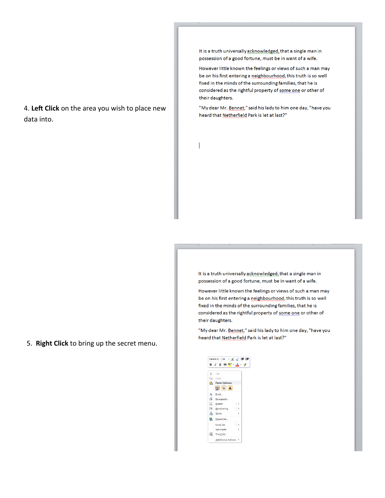4. **Left Click** on the area you wish to place new data into.

It is a truth universally acknowledged, that a single man in possession of a good fortune, must be in want of a wife.

However little known the feelings or views of such a man may be on his first entering a neighbourhood, this truth is so well fixed in the minds of the surrounding families, that he is considered as the rightful property of some one or other of their daughters.

"My dear Mr. Bennet," said his lady to him one day, "have you heard that Netherfield Park is let at last?"

 $\overline{\phantom{a}}$ 

It is a truth universally acknowledged, that a single man in possession of a good fortune, must be in want of a wife.

However little known the feelings or views of such a man may be on his first entering a neighbourhood, this truth is so well fixed in the minds of the surrounding families, that he is considered as the rightful property of some one or other of their daughters.

"My dear Mr. Bennet," said his lady to him one day, "have you heard that Netherfield Park is let at last?"

|      | Calibri (E $\sim$ 18 $\sim$ $\left \mathbf{A}^\top\mathbf{A}\right $ $\approx$ $\left \mathbf{E}\right $ |                |                      |              |   |    |
|------|----------------------------------------------------------------------------------------------------------|----------------|----------------------|--------------|---|----|
|      | B <i>I</i> U ≣ <mark>*</mark> A · o                                                                      |                |                      |              |   |    |
|      |                                                                                                          |                |                      |              |   |    |
| ¥.   | Cut                                                                                                      |                |                      |              |   |    |
| la l |                                                                                                          | Copy           |                      |              |   |    |
|      | Paste Options:                                                                                           |                |                      |              |   |    |
|      |                                                                                                          |                |                      | $\mathbf{A}$ |   |    |
| A    |                                                                                                          | Font           |                      |              |   |    |
| 玩    |                                                                                                          |                | Paragraph            |              |   |    |
| 狂!   |                                                                                                          | <b>Bullets</b> |                      |              |   |    |
|      | <b>三</b> Numbering                                                                                       |                |                      |              |   |    |
| A    |                                                                                                          | <b>Styles</b>  |                      |              |   |    |
| Q,   |                                                                                                          |                | Hyperlink            |              |   |    |
|      |                                                                                                          | Look Up        |                      |              | ı | b. |
|      |                                                                                                          |                | Synonyms             |              |   | ь  |
| B)   |                                                                                                          | Translate      |                      |              |   |    |
|      |                                                                                                          |                | Additional Actions > |              |   |    |

5. **Right Click** to bring up the secret menu.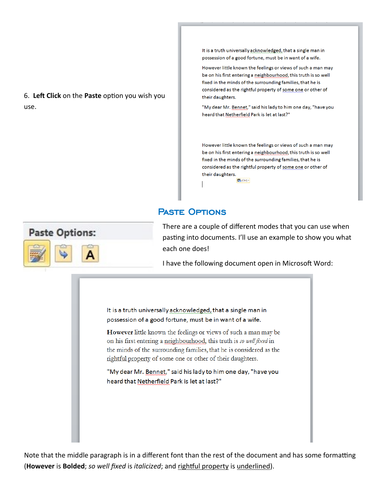6. **Left Click** on the **Paste** option you wish you use.

It is a truth universally acknowledged, that a single man in possession of a good fortune, must be in want of a wife.

However little known the feelings or views of such a man may be on his first entering a neighbourhood, this truth is so well fixed in the minds of the surrounding families, that he is considered as the rightful property of some one or other of their daughters.

"My dear Mr. Bennet," said his lady to him one day, "have you heard that Netherfield Park is let at last?"

However little known the feelings or views of such a man may be on his first entering a neighbourhood, this truth is so well fixed in the minds of the surrounding families, that he is considered as the rightful property of some one or other of their daughters.

Paste Options



There are a couple of different modes that you can use when pasting into documents. I'll use an example to show you what each one does!

I have the following document open in Microsoft Word:

图(Ctrl)-

It is a truth universally acknowledged, that a single man in possession of a good fortune, must be in want of a wife.

However little known the feelings or views of such a man may be on his first entering a neighbourhood, this truth is so well fixed in the minds of the surrounding families, that he is considered as the rightful property of some one or other of their daughters.

"My dear Mr. Bennet," said his lady to him one day, "have you heard that Netherfield Park is let at last?"

Note that the middle paragraph is in a different font than the rest of the document and has some formatting (**However** is **Bolded**; *so well fixed* is *italicized*; and rightful property is underlined).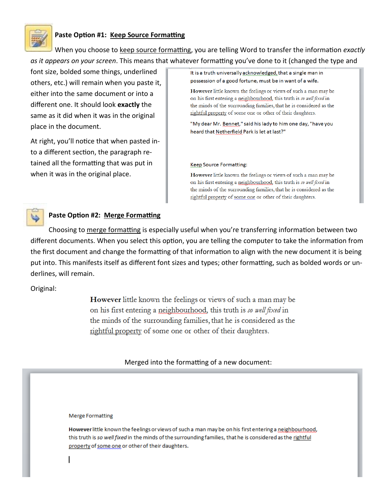

### **Paste Option #1: Keep Source Formatting**

When you choose to keep source formatting, you are telling Word to transfer the information *exactly as it appears on your screen*. This means that whatever formatting you've done to it (changed the type and

font size, bolded some things, underlined others, etc.) will remain when you paste it, either into the same document or into a different one. It should look **exactly** the same as it did when it was in the original place in the document.

At right, you'll notice that when pasted into a different section, the paragraph retained all the formatting that was put in when it was in the original place.

It is a truth universally acknowledged, that a single man in possession of a good fortune, must be in want of a wife.

However little known the feelings or views of such a man may be on his first entering a neighbourhood, this truth is so well fixed in the minds of the surrounding families, that he is considered as the rightful property of some one or other of their daughters.

"My dear Mr. Bennet," said his lady to him one day, "have you heard that Netherfield Park is let at last?"

#### **Keep Source Formatting:**

However little known the feelings or views of such a man may be on his first entering a neighbourhood, this truth is so well fixed in the minds of the surrounding families, that he is considered as the rightful property of some one or other of their daughters.



#### **Paste Option #2: Merge Formatting**

Choosing to merge formatting is especially useful when you're transferring information between two different documents. When you select this option, you are telling the computer to take the information from the first document and change the formatting of that information to align with the new document it is being put into. This manifests itself as different font sizes and types; other formatting, such as bolded words or underlines, will remain.

Original:

However little known the feelings or views of such a man may be on his first entering a neighbourhood, this truth is so well fixed in the minds of the surrounding families, that he is considered as the rightful property of some one or other of their daughters.

Merged into the formatting of a new document:

#### **Merge Formatting**

However little known the feelings or views of such a man may be on his first entering a neighbourhood, this truth is so well fixed in the minds of the surrounding families, that he is considered as the rightful property of some one or other of their daughters.